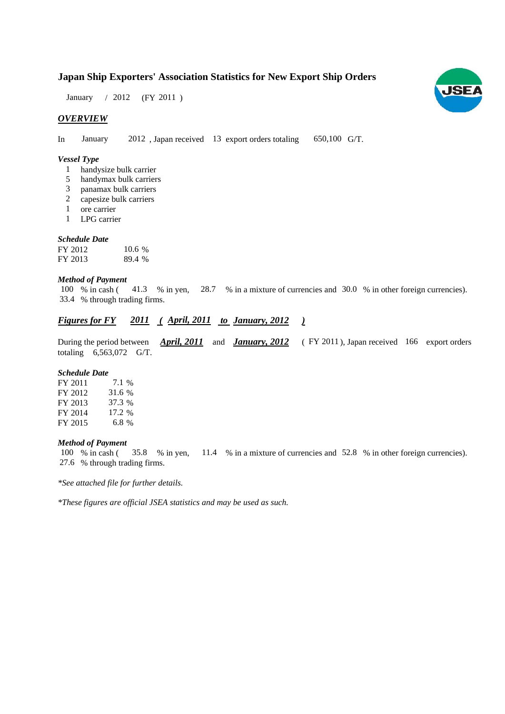# **Japan Ship Exporters' Association Statistics for New Export Ship Orders**

January / 2012 (FY 2011)

## *OVERVIEW*

In January 2012, Japan received 13 export orders totaling 650,100 G/T.

#### *Vessel Type*

- handysize bulk carrier 1
- handymax bulk carriers 5
- panamax bulk carriers 3
- capesize bulk carriers 2
- ore carrier 1
- LPG carrier 1

#### *Schedule Date*

| FY 2012 | $10.6\%$ |
|---------|----------|
| FY 2013 | 89.4 %   |

#### *Method of Payment*

% in cash (41.3 % in yen, 28.7 % in a mixture of currencies and 30.0 % in other foreign currencies). % through trading firms. 33.4 100 % in cash (

# *Figures for FY* 2011 (*April, 2011 to January, 2012 )*

During the period between *April, 2011* and *January, 2012* (FY 2011), Japan received 166 export orders totaling  $6,563,072$  G/T.

#### *Schedule Date*

| FY 2011 | 7.1 %  |
|---------|--------|
| FY 2012 | 31.6 % |
| FY 2013 | 37.3 % |
| FY 2014 | 17.2 % |
| FY 2015 | 6.8 %  |

## *Method of Payment*

% in cash (35.8 % in yen, 11.4 % in a mixture of currencies and 52.8 % in other foreign currencies). % through trading firms. 27.6 100 % in cash (35.8 % in yen,

*\*See attached file for further details.*

*\*These figures are official JSEA statistics and may be used as such.*

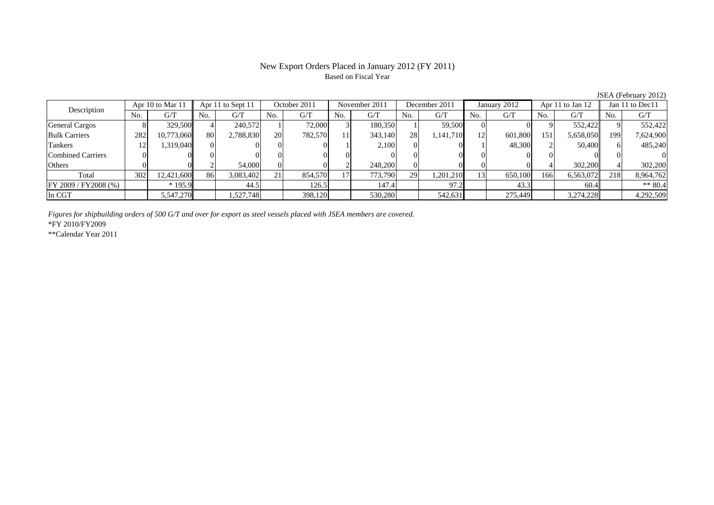### New Export Orders Placed in January 2012 (FY 2011) Based on Fiscal Year

Combined Carriers 0 0 0 0 0 0 0 0 0 0 0 0 0 0 0 0Others 0 0 2 54,000 0 0 2 248,200 0 0 0 0 4 302,200 4 302,200

FY 2009 / FY 2008 (%) \* 195.9 144.5 126.5 147.4 97.2 43.3 60.4 \* 80.4 \* 80.4 In CGT 5,547,270 1,527,748 398,120 530,280 542,631 275,449 3,274,228 4,292,509

Total 302 12,421,600 86 3,083,402 21 854,570 17 773,790 29 1,201,210 13 650,100 166 6,563,072 218 8,964,762

No. G/T No. G/T No. G/T No. G/T No. G/T No. G/T No. G/T No. G/TGeneral Cargos ( 8 329,500 4 240,572 1 72,000 3 180,350 1 59,500 0 0 9 552,422 9 552,422 Bulk Carriers 1 282 10,773,060 80 2,788,830 20 782,570 11 343,140 28 1,141,710 12 601,800 151 5,658,050 199 7,624,900 Tankers | 12| 1,319,040|| 0| 0| 0| 0| 1| 2,100| 0| 0| 1| 48,300| 2| 50,400|| 6| 485,240 October 2011 November 2011Description Apr 10 to Mar 11 Apr 11 to Sept 11 October 2011 November 201<br>No. 1 G/T No. 1 G/T No. 1 G/T No. 1 G/T No. 1 G/T Apr 11 to Sept 11 | October 2011 | November 2011 | December 2011 | January 2012 | Apr 11 to Jan 12 | Jan 11 to Dec11

*Figures for shipbuilding orders of 500 G/T and over for export as steel vessels placed with JSEA members are covered.*

\*FY 2010/FY2009

\*\*Calendar Year 2011

JSEA (February 2012)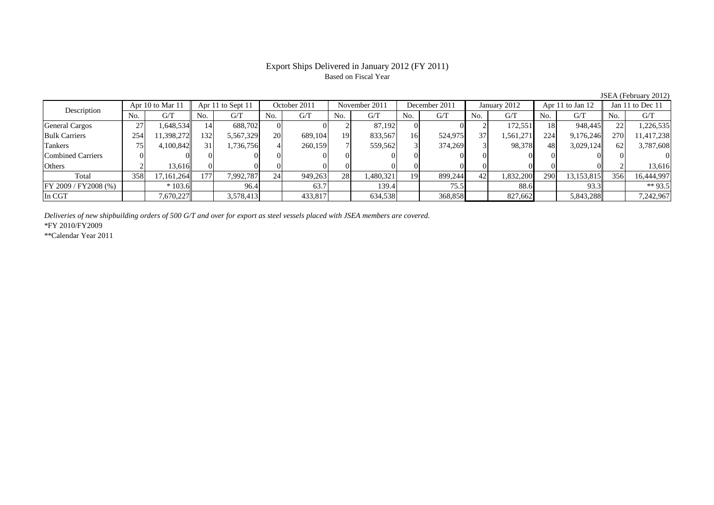# Based on Fiscal Year

No. G/T No. G/T No. G/T No. G/T No. G/T No. G/T No. G/T No. G/T $G/T$ General Cargos ( 27 1,648,534 14 688,702 0 0 0 2 87,192 0 0 2 172,551 18 948,445 22 1,226,535 Bulk Carriers 254 11,398,272 132 5,567,329 20 689,104 19 833,567 16 524,975 37 1,561,271 224 9,176,246 270 11,417,238 Tankers | 75| 4,100,842|| 31| 1,736,756| 4| 260,159| 7| 559,562| 3| 374,269| 3| 98,378| 48| 3,029,124|| 62| 3,787,608 Combined Carriers 0 0 0 0 0 0 0 0 0 0 0 0 0 0 0 0Others | 2 | 13,616 || 0 | 0 | 0 | 0 | 0 | 0 | 0 | 0 | 0 | 0 | 2 | 13,616 Total 358 17,161,264 177 7,992,787 24 949,263 28 1,480,321 19 899,244 42 1,832,200 290 13,153,815 356 16,444,997 FY 2009 / FY2008 (%) \* 103.6 96.4 63.7 139.4 75.5 88.6 93.3 \*\* 93.5 In CGT | | 7,670,227|| | 3,578,413| | 433,817| | 634,538| | 368,858| | 827,662| | 5,843,288|| | 7,242,967 Apr 11 to Sept 11 October 2011 November 2011 Description Apr 10 to Mar 11 December 2011 January 2012 Apr 11 to Jan 12 Jan 11 to Dec 11

*Deliveries of new shipbuilding orders of 500 G/T and over for export as steel vessels placed with JSEA members are covered.*

\*FY 2010/FY2009

\*\*Calendar Year 2011

JSEA (February 2012)

# Export Ships Delivered in January 2012 (FY 2011)